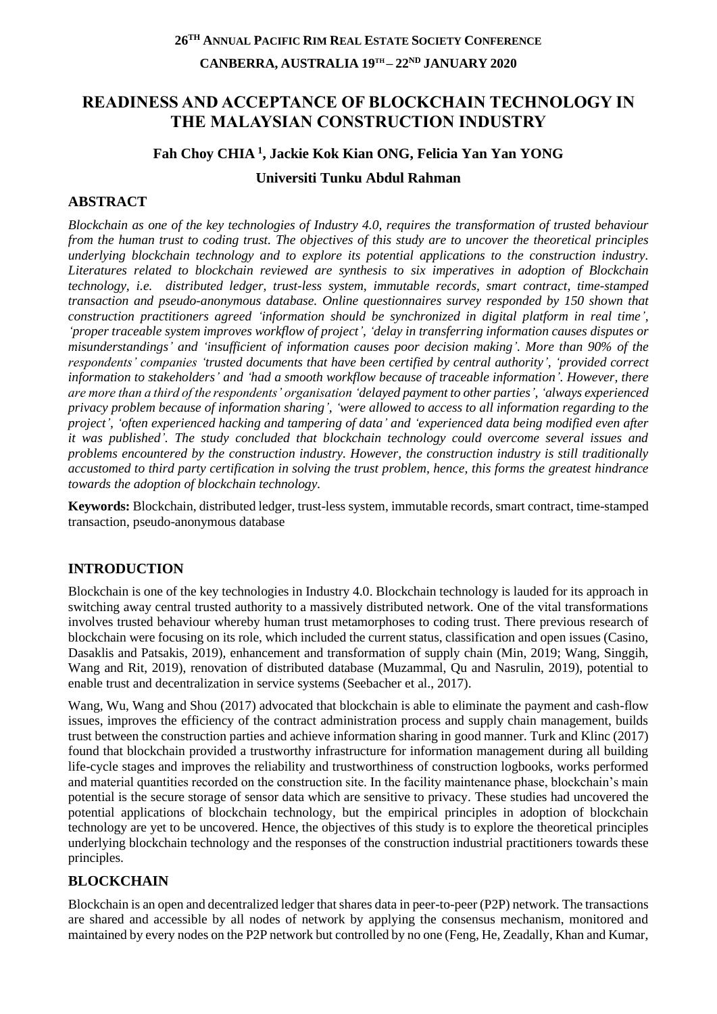# **READINESS AND ACCEPTANCE OF BLOCKCHAIN TECHNOLOGY IN THE MALAYSIAN CONSTRUCTION INDUSTRY**

# **Fah Choy CHIA <sup>1</sup> , Jackie Kok Kian ONG, Felicia Yan Yan YONG Universiti Tunku Abdul Rahman**

## **ABSTRACT**

*Blockchain as one of the key technologies of Industry 4.0, requires the transformation of trusted behaviour from the human trust to coding trust. The objectives of this study are to uncover the theoretical principles underlying blockchain technology and to explore its potential applications to the construction industry. Literatures related to blockchain reviewed are synthesis to six imperatives in adoption of Blockchain technology, i.e. distributed ledger, trust-less system, immutable records, smart contract, time-stamped transaction and pseudo-anonymous database. Online questionnaires survey responded by 150 shown that construction practitioners agreed 'information should be synchronized in digital platform in real time', 'proper traceable system improves workflow of project', 'delay in transferring information causes disputes or misunderstandings' and 'insufficient of information causes poor decision making'. More than 90% of the respondents' companies 'trusted documents that have been certified by central authority', 'provided correct information to stakeholders' and 'had a smooth workflow because of traceable information'. However, there are more than a third of the respondents' organisation 'delayed payment to other parties', 'always experienced privacy problem because of information sharing', 'were allowed to access to all information regarding to the project', 'often experienced hacking and tampering of data' and 'experienced data being modified even after it was published'. The study concluded that blockchain technology could overcome several issues and problems encountered by the construction industry. However, the construction industry is still traditionally accustomed to third party certification in solving the trust problem, hence, this forms the greatest hindrance towards the adoption of blockchain technology.*

**Keywords:** Blockchain, distributed ledger, trust-less system, immutable records, smart contract, time-stamped transaction, pseudo-anonymous database

## **INTRODUCTION**

Blockchain is one of the key technologies in Industry 4.0. Blockchain technology is lauded for its approach in switching away central trusted authority to a massively distributed network. One of the vital transformations involves trusted behaviour whereby human trust metamorphoses to coding trust. There previous research of blockchain were focusing on its role, which included the current status, classification and open issues (Casino, Dasaklis and Patsakis, 2019), enhancement and transformation of supply chain (Min, 2019; Wang, Singgih, Wang and Rit, 2019), renovation of distributed database (Muzammal, Qu and Nasrulin, 2019), potential to enable trust and decentralization in service systems (Seebacher et al., 2017).

Wang, Wu, Wang and Shou (2017) advocated that blockchain is able to eliminate the payment and cash-flow issues, improves the efficiency of the contract administration process and supply chain management, builds trust between the construction parties and achieve information sharing in good manner. Turk and Klinc (2017) found that blockchain provided a trustworthy infrastructure for information management during all building life-cycle stages and improves the reliability and trustworthiness of construction logbooks, works performed and material quantities recorded on the construction site. In the facility maintenance phase, blockchain's main potential is the secure storage of sensor data which are sensitive to privacy. These studies had uncovered the potential applications of blockchain technology, but the empirical principles in adoption of blockchain technology are yet to be uncovered. Hence, the objectives of this study is to explore the theoretical principles underlying blockchain technology and the responses of the construction industrial practitioners towards these principles.

## **BLOCKCHAIN**

Blockchain is an open and decentralized ledger that shares data in peer-to-peer (P2P) network. The transactions are shared and accessible by all nodes of network by applying the consensus mechanism, monitored and maintained by every nodes on the P2P network but controlled by no one (Feng, He, Zeadally, Khan and Kumar,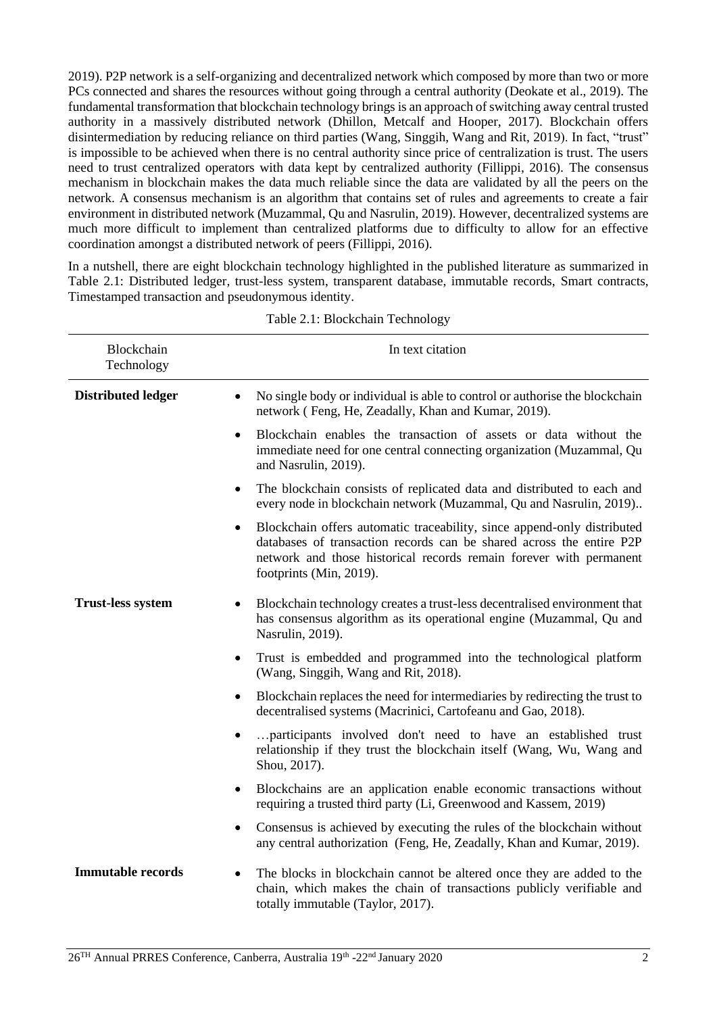2019). P2P network is a self-organizing and decentralized network which composed by more than two or more PCs connected and shares the resources without going through a central authority (Deokate et al., 2019). The fundamental transformation that blockchain technology brings is an approach of switching away central trusted authority in a massively distributed network (Dhillon, Metcalf and Hooper, 2017). Blockchain offers disintermediation by reducing reliance on third parties (Wang, Singgih, Wang and Rit, 2019). In fact, "trust" is impossible to be achieved when there is no central authority since price of centralization is trust. The users need to trust centralized operators with data kept by centralized authority (Fillippi, 2016). The consensus mechanism in blockchain makes the data much reliable since the data are validated by all the peers on the network. A consensus mechanism is an algorithm that contains set of rules and agreements to create a fair environment in distributed network (Muzammal, Qu and Nasrulin, 2019). However, decentralized systems are much more difficult to implement than centralized platforms due to difficulty to allow for an effective coordination amongst a distributed network of peers (Fillippi, 2016).

In a nutshell, there are eight blockchain technology highlighted in the published literature as summarized in Table 2.1: Distributed ledger, trust-less system, transparent database, immutable records, Smart contracts, Timestamped transaction and pseudonymous identity.

| Blockchain<br>Technology  | In text citation                                                                                                                                                                                                                                 |
|---------------------------|--------------------------------------------------------------------------------------------------------------------------------------------------------------------------------------------------------------------------------------------------|
| <b>Distributed ledger</b> | No single body or individual is able to control or authorise the blockchain<br>network (Feng, He, Zeadally, Khan and Kumar, 2019).                                                                                                               |
|                           | Blockchain enables the transaction of assets or data without the<br>$\bullet$<br>immediate need for one central connecting organization (Muzammal, Qu<br>and Nasrulin, 2019).                                                                    |
|                           | The blockchain consists of replicated data and distributed to each and<br>$\bullet$<br>every node in blockchain network (Muzammal, Qu and Nasrulin, 2019)                                                                                        |
|                           | Blockchain offers automatic traceability, since append-only distributed<br>databases of transaction records can be shared across the entire P2P<br>network and those historical records remain forever with permanent<br>footprints (Min, 2019). |
| <b>Trust-less system</b>  | Blockchain technology creates a trust-less decentralised environment that<br>has consensus algorithm as its operational engine (Muzammal, Qu and<br>Nasrulin, 2019).                                                                             |
|                           | Trust is embedded and programmed into the technological platform<br>٠<br>(Wang, Singgih, Wang and Rit, 2018).                                                                                                                                    |
|                           | Blockchain replaces the need for intermediaries by redirecting the trust to<br>decentralised systems (Macrinici, Cartofeanu and Gao, 2018).                                                                                                      |
|                           | participants involved don't need to have an established trust<br>relationship if they trust the blockchain itself (Wang, Wu, Wang and<br>Shou, 2017).                                                                                            |
|                           | Blockchains are an application enable economic transactions without<br>requiring a trusted third party (Li, Greenwood and Kassem, 2019)                                                                                                          |
|                           | Consensus is achieved by executing the rules of the blockchain without<br>$\bullet$<br>any central authorization (Feng, He, Zeadally, Khan and Kumar, 2019).                                                                                     |
| <b>Immutable records</b>  | The blocks in blockchain cannot be altered once they are added to the<br>chain, which makes the chain of transactions publicly verifiable and<br>totally immutable (Taylor, 2017).                                                               |

Table 2.1: Blockchain Technology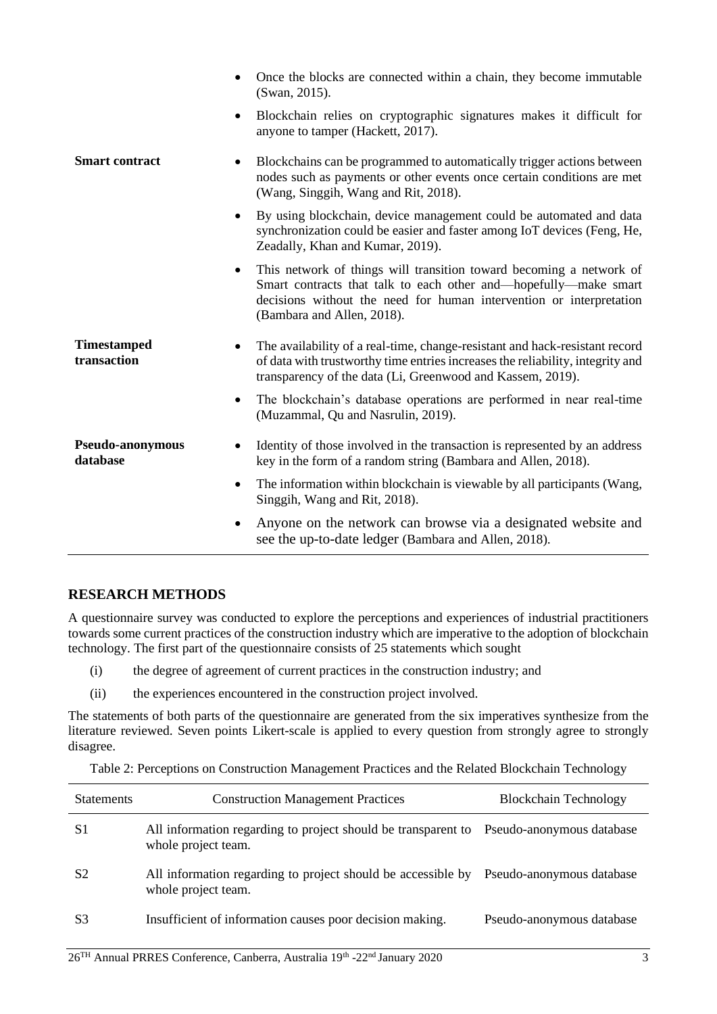|                                   |           | Once the blocks are connected within a chain, they become immutable<br>(Swan, 2015).                                                                                                                                                         |
|-----------------------------------|-----------|----------------------------------------------------------------------------------------------------------------------------------------------------------------------------------------------------------------------------------------------|
|                                   | $\bullet$ | Blockchain relies on cryptographic signatures makes it difficult for<br>anyone to tamper (Hackett, 2017).                                                                                                                                    |
| <b>Smart contract</b>             |           | Blockchains can be programmed to automatically trigger actions between<br>nodes such as payments or other events once certain conditions are met<br>(Wang, Singgih, Wang and Rit, 2018).                                                     |
|                                   | $\bullet$ | By using blockchain, device management could be automated and data<br>synchronization could be easier and faster among IoT devices (Feng, He,<br>Zeadally, Khan and Kumar, 2019).                                                            |
|                                   | $\bullet$ | This network of things will transition toward becoming a network of<br>Smart contracts that talk to each other and—hopefully—make smart<br>decisions without the need for human intervention or interpretation<br>(Bambara and Allen, 2018). |
| <b>Timestamped</b><br>transaction |           | The availability of a real-time, change-resistant and hack-resistant record<br>of data with trustworthy time entries increases the reliability, integrity and<br>transparency of the data (Li, Greenwood and Kassem, 2019).                  |
|                                   | $\bullet$ | The blockchain's database operations are performed in near real-time<br>(Muzammal, Qu and Nasrulin, 2019).                                                                                                                                   |
| Pseudo-anonymous<br>database      |           | Identity of those involved in the transaction is represented by an address<br>key in the form of a random string (Bambara and Allen, 2018).                                                                                                  |
|                                   | $\bullet$ | The information within blockchain is viewable by all participants (Wang,<br>Singgih, Wang and Rit, 2018).                                                                                                                                    |
|                                   | ٠         | Anyone on the network can browse via a designated website and<br>see the up-to-date ledger (Bambara and Allen, 2018).                                                                                                                        |
|                                   |           |                                                                                                                                                                                                                                              |

#### **RESEARCH METHODS**

A questionnaire survey was conducted to explore the perceptions and experiences of industrial practitioners towards some current practices of the construction industry which are imperative to the adoption of blockchain technology. The first part of the questionnaire consists of 25 statements which sought

- (i) the degree of agreement of current practices in the construction industry; and
- (ii) the experiences encountered in the construction project involved.

The statements of both parts of the questionnaire are generated from the six imperatives synthesize from the literature reviewed. Seven points Likert-scale is applied to every question from strongly agree to strongly disagree.

Table 2: Perceptions on Construction Management Practices and the Related Blockchain Technology

| <b>Statements</b> | <b>Construction Management Practices</b>                                             | <b>Blockchain Technology</b> |
|-------------------|--------------------------------------------------------------------------------------|------------------------------|
| S1                | All information regarding to project should be transparent to<br>whole project team. | Pseudo-anonymous database    |
| S <sub>2</sub>    | All information regarding to project should be accessible by<br>whole project team.  | Pseudo-anonymous database    |
| S <sub>3</sub>    | Insufficient of information causes poor decision making.                             | Pseudo-anonymous database    |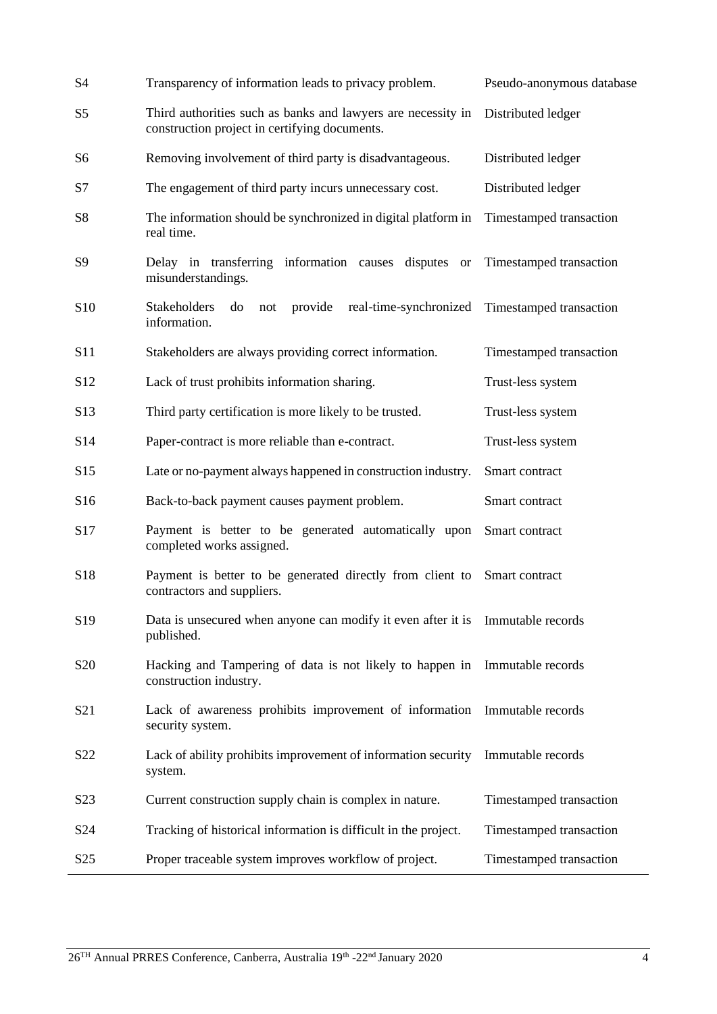| S <sub>4</sub>   | Transparency of information leads to privacy problem.                                                         | Pseudo-anonymous database |
|------------------|---------------------------------------------------------------------------------------------------------------|---------------------------|
| S <sub>5</sub>   | Third authorities such as banks and lawyers are necessity in<br>construction project in certifying documents. | Distributed ledger        |
| S6               | Removing involvement of third party is disadvantageous.                                                       | Distributed ledger        |
| S7               | The engagement of third party incurs unnecessary cost.                                                        | Distributed ledger        |
| S8               | The information should be synchronized in digital platform in<br>real time.                                   | Timestamped transaction   |
| S9               | Delay in transferring information causes disputes or<br>misunderstandings.                                    | Timestamped transaction   |
| S <sub>10</sub>  | Stakeholders<br>provide<br>real-time-synchronized<br>do<br>not<br>information.                                | Timestamped transaction   |
| S11              | Stakeholders are always providing correct information.                                                        | Timestamped transaction   |
| S <sub>12</sub>  | Lack of trust prohibits information sharing.                                                                  | Trust-less system         |
| S <sub>13</sub>  | Third party certification is more likely to be trusted.                                                       | Trust-less system         |
| S <sub>14</sub>  | Paper-contract is more reliable than e-contract.                                                              | Trust-less system         |
| S <sub>15</sub>  | Late or no-payment always happened in construction industry.                                                  | Smart contract            |
| S16              | Back-to-back payment causes payment problem.                                                                  | Smart contract            |
| S17              | Payment is better to be generated automatically upon<br>completed works assigned.                             | Smart contract            |
| S18              | Payment is better to be generated directly from client to<br>contractors and suppliers.                       | Smart contract            |
| S19              | Data is unsecured when anyone can modify it even after it is Immutable records<br>published.                  |                           |
| S <sub>20</sub>  | Hacking and Tampering of data is not likely to happen in Immutable records<br>construction industry.          |                           |
| S <sub>21</sub>  | Lack of awareness prohibits improvement of information Immutable records<br>security system.                  |                           |
| S22              | Lack of ability prohibits improvement of information security<br>system.                                      | Immutable records         |
| S <sub>2</sub> 3 | Current construction supply chain is complex in nature.                                                       | Timestamped transaction   |
| S24              | Tracking of historical information is difficult in the project.                                               | Timestamped transaction   |
| S <sub>25</sub>  | Proper traceable system improves workflow of project.                                                         | Timestamped transaction   |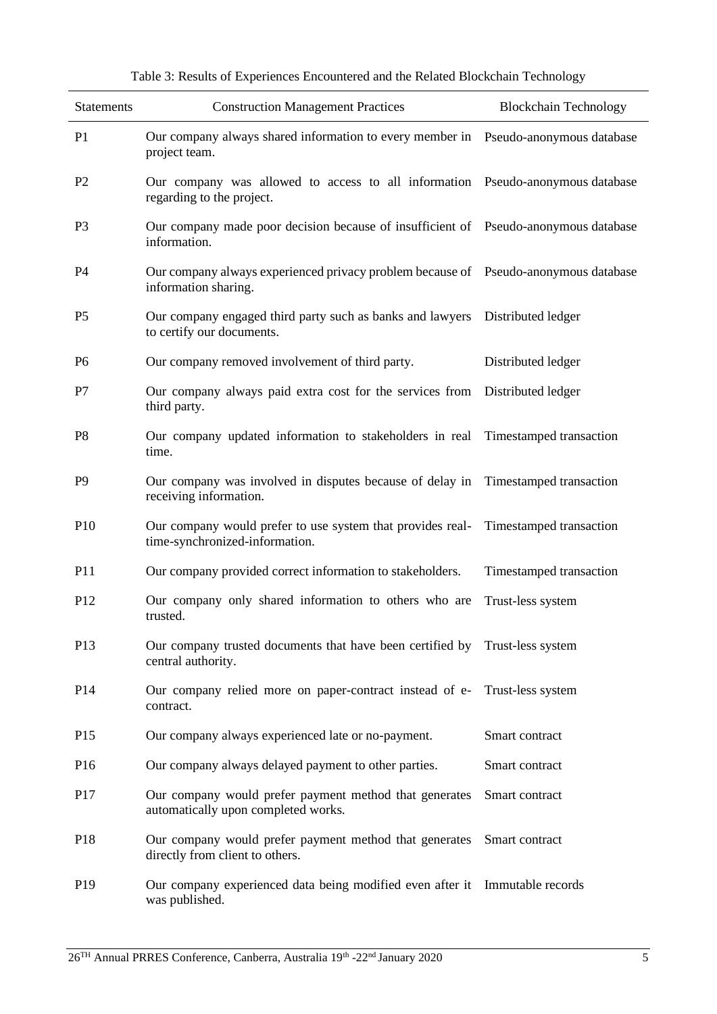| <b>Statements</b> | <b>Construction Management Practices</b>                                                                    | <b>Blockchain Technology</b> |
|-------------------|-------------------------------------------------------------------------------------------------------------|------------------------------|
| P <sub>1</sub>    | Our company always shared information to every member in Pseudo-anonymous database<br>project team.         |                              |
| P <sub>2</sub>    | Our company was allowed to access to all information Pseudo-anonymous database<br>regarding to the project. |                              |
| P <sub>3</sub>    | Our company made poor decision because of insufficient of Pseudo-anonymous database<br>information.         |                              |
| P4                | Our company always experienced privacy problem because of Pseudo-anonymous database<br>information sharing. |                              |
| P <sub>5</sub>    | Our company engaged third party such as banks and lawyers<br>to certify our documents.                      | Distributed ledger           |
| P <sub>6</sub>    | Our company removed involvement of third party.                                                             | Distributed ledger           |
| P7                | Our company always paid extra cost for the services from<br>third party.                                    | Distributed ledger           |
| P <sub>8</sub>    | Our company updated information to stakeholders in real Timestamped transaction<br>time.                    |                              |
| P <sub>9</sub>    | Our company was involved in disputes because of delay in<br>receiving information.                          | Timestamped transaction      |
| P <sub>10</sub>   | Our company would prefer to use system that provides real-<br>time-synchronized-information.                | Timestamped transaction      |
| <b>P11</b>        | Our company provided correct information to stakeholders.                                                   | Timestamped transaction      |
| P <sub>12</sub>   | Our company only shared information to others who are<br>trusted.                                           | Trust-less system            |
| P13               | Our company trusted documents that have been certified by Trust-less system<br>central authority.           |                              |
| P <sub>14</sub>   | Our company relied more on paper-contract instead of e-<br>contract.                                        | Trust-less system            |
| P <sub>15</sub>   | Our company always experienced late or no-payment.                                                          | Smart contract               |
| P <sub>16</sub>   | Our company always delayed payment to other parties.                                                        | Smart contract               |
| P17               | Our company would prefer payment method that generates<br>automatically upon completed works.               | Smart contract               |
| P18               | Our company would prefer payment method that generates<br>directly from client to others.                   | Smart contract               |
| P <sub>19</sub>   | Our company experienced data being modified even after it Immutable records<br>was published.               |                              |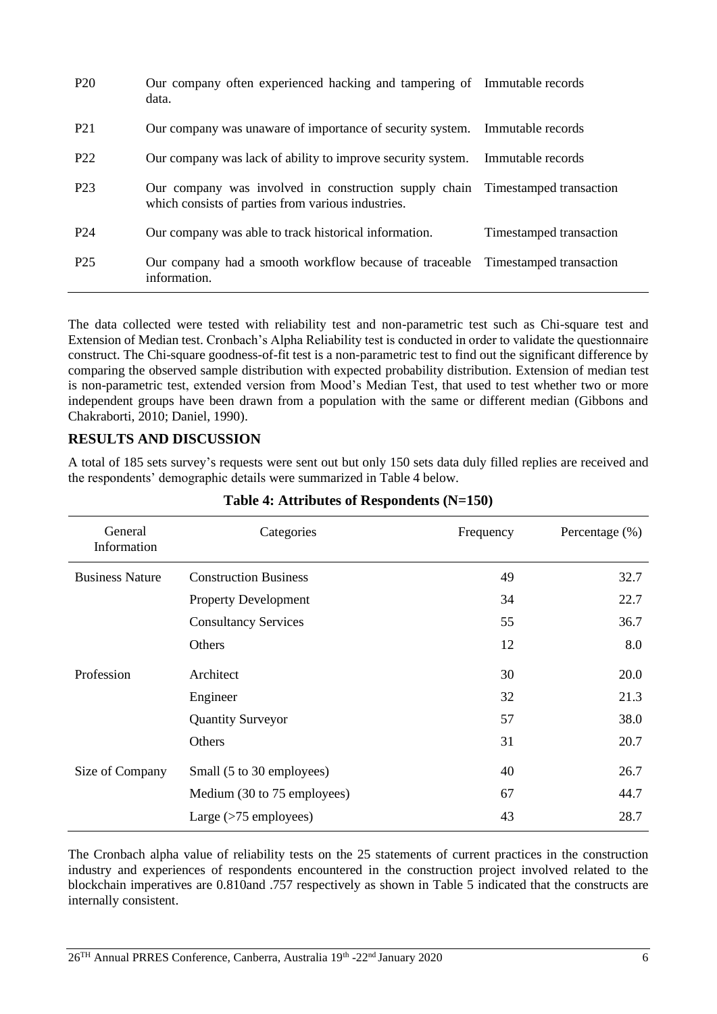| P <sub>20</sub>  | Our company often experienced hacking and tampering of Immutable records<br>data.                                                   |                         |
|------------------|-------------------------------------------------------------------------------------------------------------------------------------|-------------------------|
| P <sub>21</sub>  | Our company was unaware of importance of security system. Immutable records                                                         |                         |
| P <sub>22</sub>  | Our company was lack of ability to improve security system.                                                                         | Immutable records       |
| P <sub>2</sub> 3 | Our company was involved in construction supply chain Timestamped transaction<br>which consists of parties from various industries. |                         |
| P <sub>24</sub>  | Our company was able to track historical information.                                                                               | Timestamped transaction |
| P <sub>25</sub>  | Our company had a smooth workflow because of traceable Timestamped transaction<br>information.                                      |                         |

The data collected were tested with reliability test and non-parametric test such as Chi-square test and Extension of Median test. Cronbach's Alpha Reliability test is conducted in order to validate the questionnaire construct. The Chi-square goodness-of-fit test is a non-parametric test to find out the significant difference by comparing the observed sample distribution with expected probability distribution. Extension of median test is non-parametric test, extended version from Mood's Median Test, that used to test whether two or more independent groups have been drawn from a population with the same or different median (Gibbons and Chakraborti, 2010; Daniel, 1990).

# **RESULTS AND DISCUSSION**

A total of 185 sets survey's requests were sent out but only 150 sets data duly filled replies are received and the respondents' demographic details were summarized in Table 4 below.

| General<br>Information | Categories                   | Frequency | Percentage $(\%)$ |
|------------------------|------------------------------|-----------|-------------------|
| <b>Business Nature</b> | <b>Construction Business</b> | 49        | 32.7              |
|                        | <b>Property Development</b>  | 34        | 22.7              |
|                        | <b>Consultancy Services</b>  | 55        | 36.7              |
|                        | Others                       | 12        | 8.0               |
| Profession             | Architect                    | 30        | 20.0              |
|                        | Engineer                     | 32        | 21.3              |
|                        | <b>Quantity Surveyor</b>     | 57        | 38.0              |
|                        | Others                       | 31        | 20.7              |
| Size of Company        | Small (5 to 30 employees)    | 40        | 26.7              |
|                        | Medium (30 to 75 employees)  | 67        | 44.7              |
|                        | Large $($ >75 employees $)$  | 43        | 28.7              |

## **Table 4: Attributes of Respondents (N=150)**

The Cronbach alpha value of reliability tests on the 25 statements of current practices in the construction industry and experiences of respondents encountered in the construction project involved related to the blockchain imperatives are 0.810and .757 respectively as shown in Table 5 indicated that the constructs are internally consistent.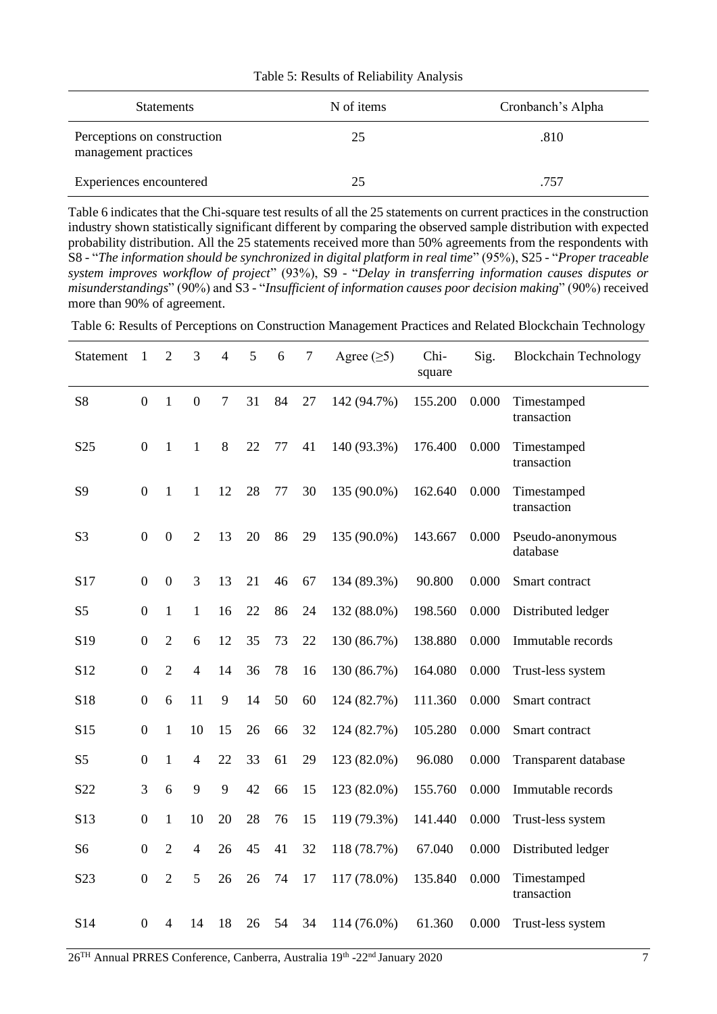| <b>Statements</b>                                   | N of items | Cronbanch's Alpha |
|-----------------------------------------------------|------------|-------------------|
| Perceptions on construction<br>management practices | 25         | .810              |
| Experiences encountered                             | 25         | .757              |

Table 5: Results of Reliability Analysis

Table 6 indicates that the Chi-square test results of all the 25 statements on current practices in the construction industry shown statistically significant different by comparing the observed sample distribution with expected probability distribution. All the 25 statements received more than 50% agreements from the respondents with S8 - "*The information should be synchronized in digital platform in real time*" (95%), S25 - "*Proper traceable system improves workflow of project*" (93%), S9 - "*Delay in transferring information causes disputes or misunderstandings*" (90%) and S3 - "*Insufficient of information causes poor decision making*" (90%) received more than 90% of agreement.

Table 6: Results of Perceptions on Construction Management Practices and Related Blockchain Technology

| Statement        | 1                | $\overline{2}$   | 3              | 4              | 5  | 6  | 7  | Agree $(\geq 5)$ | Chi-<br>square | Sig.  | <b>Blockchain Technology</b> |
|------------------|------------------|------------------|----------------|----------------|----|----|----|------------------|----------------|-------|------------------------------|
| <b>S8</b>        | $\overline{0}$   | 1                | $\overline{0}$ | $\overline{7}$ | 31 | 84 | 27 | 142 (94.7%)      | 155.200        | 0.000 | Timestamped<br>transaction   |
| S <sub>25</sub>  | $\boldsymbol{0}$ | 1                | 1              | 8              | 22 | 77 | 41 | 140 (93.3%)      | 176.400        | 0.000 | Timestamped<br>transaction   |
| S9               | $\boldsymbol{0}$ | $\mathbf{1}$     | $\mathbf{1}$   | 12             | 28 | 77 | 30 | 135 (90.0%)      | 162.640        | 0.000 | Timestamped<br>transaction   |
| S <sub>3</sub>   | $\boldsymbol{0}$ | $\overline{0}$   | $\overline{2}$ | 13             | 20 | 86 | 29 | 135 (90.0%)      | 143.667        | 0.000 | Pseudo-anonymous<br>database |
| S17              | $\boldsymbol{0}$ | $\boldsymbol{0}$ | 3              | 13             | 21 | 46 | 67 | 134 (89.3%)      | 90.800         | 0.000 | Smart contract               |
| S <sub>5</sub>   | $\boldsymbol{0}$ | $\mathbf{1}$     | $\mathbf{1}$   | 16             | 22 | 86 | 24 | 132 (88.0%)      | 198.560        | 0.000 | Distributed ledger           |
| S19              | $\boldsymbol{0}$ | $\overline{2}$   | 6              | 12             | 35 | 73 | 22 | 130 (86.7%)      | 138.880        | 0.000 | Immutable records            |
| S <sub>12</sub>  | $\boldsymbol{0}$ | $\overline{2}$   | $\overline{4}$ | 14             | 36 | 78 | 16 | 130 (86.7%)      | 164.080        | 0.000 | Trust-less system            |
| S18              | $\boldsymbol{0}$ | 6                | 11             | 9              | 14 | 50 | 60 | 124 (82.7%)      | 111.360        | 0.000 | Smart contract               |
| S <sub>15</sub>  | $\boldsymbol{0}$ | $\mathbf{1}$     | 10             | 15             | 26 | 66 | 32 | 124 (82.7%)      | 105.280        | 0.000 | Smart contract               |
| S <sub>5</sub>   | $\boldsymbol{0}$ | $\mathbf{1}$     | $\overline{4}$ | 22             | 33 | 61 | 29 | 123 (82.0%)      | 96.080         | 0.000 | Transparent database         |
| S22              | 3                | 6                | 9              | 9              | 42 | 66 | 15 | 123 (82.0%)      | 155.760        | 0.000 | Immutable records            |
| S13              | $\boldsymbol{0}$ | $\mathbf{1}$     | 10             | 20             | 28 | 76 | 15 | 119 (79.3%)      | 141.440        | 0.000 | Trust-less system            |
| S <sub>6</sub>   | $\boldsymbol{0}$ | $\overline{2}$   | $\overline{4}$ | 26             | 45 | 41 | 32 | 118 (78.7%)      | 67.040         | 0.000 | Distributed ledger           |
| S <sub>2</sub> 3 | $\boldsymbol{0}$ | $\overline{2}$   | 5              | 26             | 26 | 74 | 17 | 117 (78.0%)      | 135.840        | 0.000 | Timestamped<br>transaction   |
| S14              | $\overline{0}$   | $\overline{4}$   | 14             | 18             | 26 | 54 | 34 | 114 (76.0%)      | 61.360         | 0.000 | Trust-less system            |

26<sup>TH</sup> Annual PRRES Conference, Canberra, Australia 19<sup>th</sup> -22<sup>nd</sup> January 2020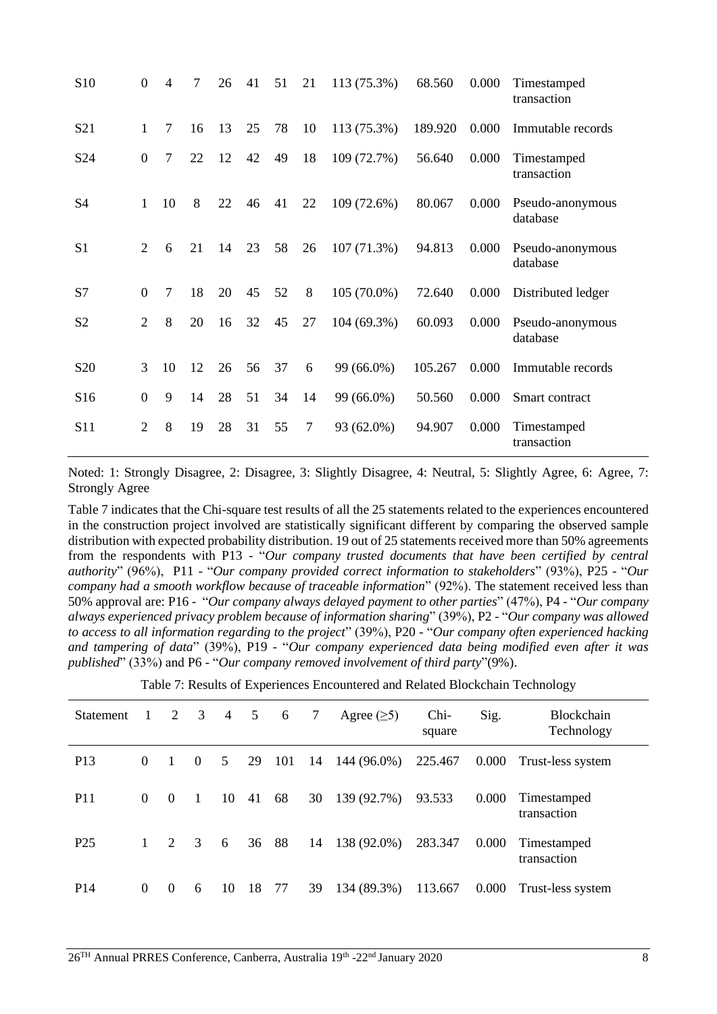| S <sub>10</sub> | $\overline{0}$   | 4      | 7  | 26 | 41 | 51 | 21 | 113 (75.3%) | 68.560  | 0.000 | Timestamped<br>transaction   |
|-----------------|------------------|--------|----|----|----|----|----|-------------|---------|-------|------------------------------|
| S <sub>21</sub> | 1                | 7      | 16 | 13 | 25 | 78 | 10 | 113 (75.3%) | 189.920 | 0.000 | Immutable records            |
| S <sub>24</sub> | $\mathbf{0}$     | 7      | 22 | 12 | 42 | 49 | 18 | 109 (72.7%) | 56.640  | 0.000 | Timestamped<br>transaction   |
| S <sub>4</sub>  | $\mathbf{1}$     | 10     | 8  | 22 | 46 | 41 | 22 | 109 (72.6%) | 80.067  | 0.000 | Pseudo-anonymous<br>database |
| S <sub>1</sub>  | 2                | 6      | 21 | 14 | 23 | 58 | 26 | 107(71.3%)  | 94.813  | 0.000 | Pseudo-anonymous<br>database |
| S7              | $\overline{0}$   | $\tau$ | 18 | 20 | 45 | 52 | 8  | 105 (70.0%) | 72.640  | 0.000 | Distributed ledger           |
| S <sub>2</sub>  | 2                | 8      | 20 | 16 | 32 | 45 | 27 | 104 (69.3%) | 60.093  | 0.000 | Pseudo-anonymous<br>database |
| S <sub>20</sub> | 3                | 10     | 12 | 26 | 56 | 37 | 6  | 99 (66.0%)  | 105.267 | 0.000 | Immutable records            |
| S <sub>16</sub> | $\boldsymbol{0}$ | 9      | 14 | 28 | 51 | 34 | 14 | 99 (66.0%)  | 50.560  | 0.000 | Smart contract               |
| S <sub>11</sub> | 2                | 8      | 19 | 28 | 31 | 55 | 7  | 93 (62.0%)  | 94.907  | 0.000 | Timestamped<br>transaction   |

Noted: 1: Strongly Disagree, 2: Disagree, 3: Slightly Disagree, 4: Neutral, 5: Slightly Agree, 6: Agree, 7: Strongly Agree

Table 7 indicates that the Chi-square test results of all the 25 statements related to the experiences encountered in the construction project involved are statistically significant different by comparing the observed sample distribution with expected probability distribution. 19 out of 25 statements received more than 50% agreements from the respondents with P13 - "*Our company trusted documents that have been certified by central authority*" (96%), P11 - "*Our company provided correct information to stakeholders*" (93%), P25 - "*Our company had a smooth workflow because of traceable information*" (92%). The statement received less than 50% approval are: P16 - "*Our company always delayed payment to other parties*" (47%), P4 - "*Our company always experienced privacy problem because of information sharing*" (39%), P2 - "*Our company was allowed to access to all information regarding to the project*" (39%), P20 - "*Our company often experienced hacking and tampering of data*" (39%), P19 - "*Our company experienced data being modified even after it was published*" (33%) and P6 - "*Our company removed involvement of third party*"(9%).

| Statement       | $\overline{1}$ | 2        | $\overline{\mathbf{3}}$ | $\overline{4}$ | 5  | 6   | 7  | Agree $(\geq 5)$ | Chi-<br>square | Sig.  | <b>Blockchain</b><br>Technology |
|-----------------|----------------|----------|-------------------------|----------------|----|-----|----|------------------|----------------|-------|---------------------------------|
| P <sub>13</sub> | $\theta$       | 1        | $\theta$                | 5 <sup>5</sup> | 29 | 101 | 14 | 144 (96.0%)      | 225.467        | 0.000 | Trust-less system               |
| <b>P11</b>      | $\Omega$       | $\theta$ | $\overline{1}$          | 10             | 41 | 68  | 30 | 139 (92.7%)      | 93.533         | 0.000 | Timestamped<br>transaction      |
| P <sub>25</sub> |                | 2        | 3                       | 6              | 36 | 88  | 14 | 138 (92.0%)      | 283.347        | 0.000 | Timestamped<br>transaction      |
| P <sub>14</sub> | $\Omega$       | $\theta$ | 6                       | 10             | 18 | 77  | 39 | 134 (89.3%)      | 113.667        | 0.000 | Trust-less system               |

Table 7: Results of Experiences Encountered and Related Blockchain Technology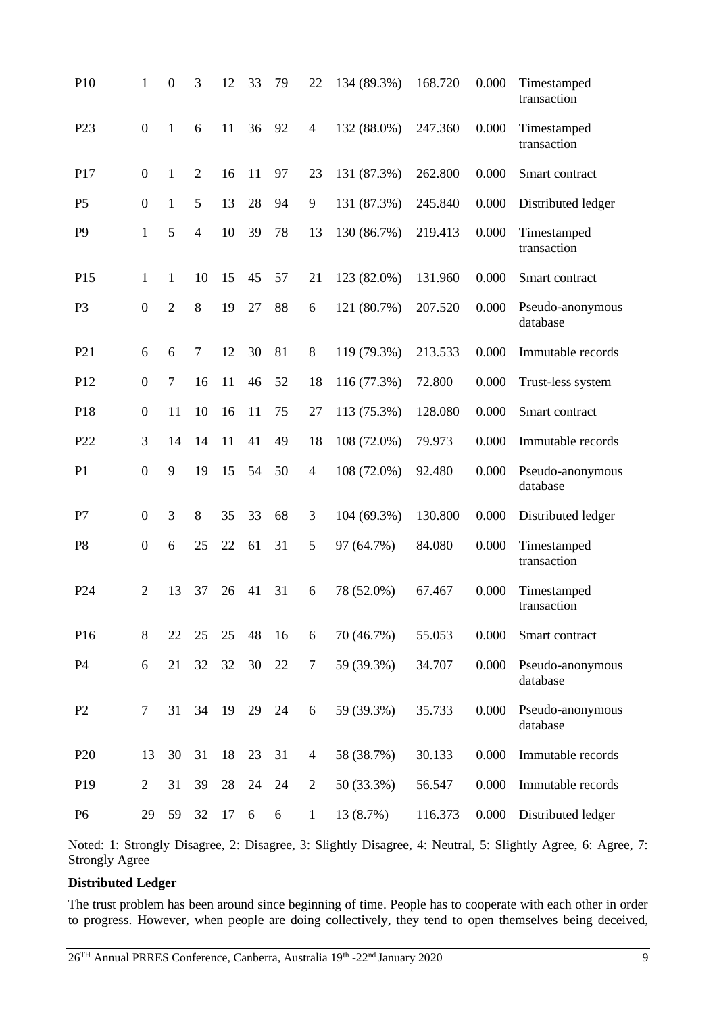| P10             | 1                | $\boldsymbol{0}$ | 3              | 12 | 33 | 79 | 22             | 134 (89.3%) | 168.720 | 0.000 | Timestamped<br>transaction   |
|-----------------|------------------|------------------|----------------|----|----|----|----------------|-------------|---------|-------|------------------------------|
| P <sub>23</sub> | $\boldsymbol{0}$ | 1                | 6              | 11 | 36 | 92 | $\overline{4}$ | 132 (88.0%) | 247.360 | 0.000 | Timestamped<br>transaction   |
| P17             | $\boldsymbol{0}$ | 1                | $\overline{2}$ | 16 | 11 | 97 | 23             | 131 (87.3%) | 262.800 | 0.000 | Smart contract               |
| P <sub>5</sub>  | $\boldsymbol{0}$ | $\mathbf{1}$     | 5              | 13 | 28 | 94 | 9              | 131 (87.3%) | 245.840 | 0.000 | Distributed ledger           |
| P <sub>9</sub>  | $\mathbf{1}$     | 5                | 4              | 10 | 39 | 78 | 13             | 130 (86.7%) | 219.413 | 0.000 | Timestamped<br>transaction   |
| P <sub>15</sub> | 1                | 1                | 10             | 15 | 45 | 57 | 21             | 123 (82.0%) | 131.960 | 0.000 | Smart contract               |
| P <sub>3</sub>  | $\boldsymbol{0}$ | $\overline{2}$   | 8              | 19 | 27 | 88 | 6              | 121 (80.7%) | 207.520 | 0.000 | Pseudo-anonymous<br>database |
| P <sub>21</sub> | 6                | 6                | 7              | 12 | 30 | 81 | 8              | 119 (79.3%) | 213.533 | 0.000 | Immutable records            |
| P <sub>12</sub> | $\boldsymbol{0}$ | 7                | 16             | 11 | 46 | 52 | 18             | 116 (77.3%) | 72.800  | 0.000 | Trust-less system            |
| P18             | $\boldsymbol{0}$ | 11               | 10             | 16 | 11 | 75 | 27             | 113 (75.3%) | 128.080 | 0.000 | Smart contract               |
| P <sub>22</sub> | 3                | 14               | 14             | 11 | 41 | 49 | 18             | 108 (72.0%) | 79.973  | 0.000 | Immutable records            |
| P <sub>1</sub>  | $\boldsymbol{0}$ | 9                | 19             | 15 | 54 | 50 | $\overline{4}$ | 108 (72.0%) | 92.480  | 0.000 | Pseudo-anonymous<br>database |
| P7              | $\overline{0}$   | 3                | 8              | 35 | 33 | 68 | 3              | 104 (69.3%) | 130.800 | 0.000 | Distributed ledger           |
| P <sub>8</sub>  | $\boldsymbol{0}$ | 6                | 25             | 22 | 61 | 31 | 5              | 97 (64.7%)  | 84.080  | 0.000 | Timestamped<br>transaction   |
| P <sub>24</sub> | $\overline{2}$   | 13               | 37             | 26 | 41 | 31 | 6              | 78 (52.0%)  | 67.467  | 0.000 | Timestamped<br>transaction   |
| P <sub>16</sub> | 8                | 22               | 25             | 25 | 48 | 16 | 6              | 70 (46.7%)  | 55.053  | 0.000 | Smart contract               |
| P4              | 6                | 21               | 32             | 32 | 30 | 22 | 7              | 59 (39.3%)  | 34.707  | 0.000 | Pseudo-anonymous<br>database |
| P <sub>2</sub>  | $\tau$           | 31               | 34             | 19 | 29 | 24 | 6              | 59 (39.3%)  | 35.733  | 0.000 | Pseudo-anonymous<br>database |
| P <sub>20</sub> | 13               | 30               | 31             | 18 | 23 | 31 | $\overline{4}$ | 58 (38.7%)  | 30.133  | 0.000 | Immutable records            |
| P <sub>19</sub> | $\overline{2}$   | 31               | 39             | 28 | 24 | 24 | $\overline{2}$ | 50 (33.3%)  | 56.547  | 0.000 | Immutable records            |
| P <sub>6</sub>  | 29               | 59               | 32             | 17 | 6  | 6  | $\mathbf{1}$   | 13 (8.7%)   | 116.373 | 0.000 | Distributed ledger           |

Noted: 1: Strongly Disagree, 2: Disagree, 3: Slightly Disagree, 4: Neutral, 5: Slightly Agree, 6: Agree, 7: Strongly Agree

#### **Distributed Ledger**

The trust problem has been around since beginning of time. People has to cooperate with each other in order to progress. However, when people are doing collectively, they tend to open themselves being deceived,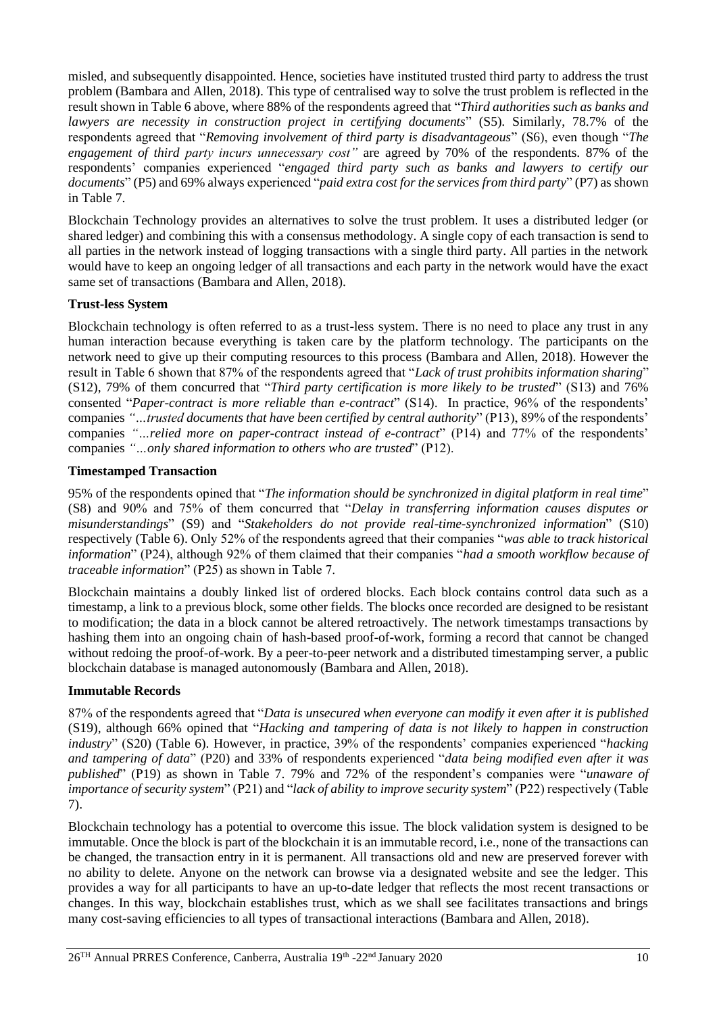misled, and subsequently disappointed. Hence, societies have instituted trusted third party to address the trust problem (Bambara and Allen, 2018). This type of centralised way to solve the trust problem is reflected in the result shown in Table 6 above, where 88% of the respondents agreed that "*Third authorities such as banks and lawyers are necessity in construction project in certifying documents*" (S5). Similarly, 78.7% of the respondents agreed that "*Removing involvement of third party is disadvantageous*" (S6), even though "*The engagement of third party incurs unnecessary cost"* are agreed by 70% of the respondents. 87% of the respondents' companies experienced "*engaged third party such as banks and lawyers to certify our documents*" (P5) and 69% always experienced "*paid extra cost for the services from third party*" (P7) as shown in Table 7.

Blockchain Technology provides an alternatives to solve the trust problem. It uses a distributed ledger (or shared ledger) and combining this with a consensus methodology. A single copy of each transaction is send to all parties in the network instead of logging transactions with a single third party. All parties in the network would have to keep an ongoing ledger of all transactions and each party in the network would have the exact same set of transactions (Bambara and Allen, 2018).

## **Trust-less System**

Blockchain technology is often referred to as a trust-less system. There is no need to place any trust in any human interaction because everything is taken care by the platform technology. The participants on the network need to give up their computing resources to this process (Bambara and Allen, 2018). However the result in Table 6 shown that 87% of the respondents agreed that "*Lack of trust prohibits information sharing*" (S12), 79% of them concurred that "*Third party certification is more likely to be trusted*" (S13) and 76% consented "*Paper-contract is more reliable than e-contract*" (S14). In practice, 96% of the respondents' companies *"…trusted documents that have been certified by central authority*" (P13), 89% of the respondents' companies *"…relied more on paper-contract instead of e-contract*" (P14) and 77% of the respondents' companies *"…only shared information to others who are trusted*" (P12).

### **Timestamped Transaction**

95% of the respondents opined that "*The information should be synchronized in digital platform in real time*" (S8) and 90% and 75% of them concurred that "*Delay in transferring information causes disputes or misunderstandings*" (S9) and "*Stakeholders do not provide real-time-synchronized information*" (S10) respectively (Table 6). Only 52% of the respondents agreed that their companies "*was able to track historical information*" (P24), although 92% of them claimed that their companies "*had a smooth workflow because of traceable information*" (P25) as shown in Table 7.

Blockchain maintains a doubly linked list of ordered blocks. Each block contains control data such as a timestamp, a link to a previous block, some other fields. The blocks once recorded are designed to be resistant to modification; the data in a block cannot be altered retroactively. The network timestamps transactions by hashing them into an ongoing chain of hash-based proof-of-work, forming a record that cannot be changed without redoing the proof-of-work. By a peer-to-peer network and a distributed timestamping server, a public blockchain database is managed autonomously (Bambara and Allen, 2018).

#### **Immutable Records**

87% of the respondents agreed that "*Data is unsecured when everyone can modify it even after it is published* (S19), although 66% opined that "*Hacking and tampering of data is not likely to happen in construction industry*" (S20) (Table 6). However, in practice, 39% of the respondents' companies experienced "*hacking and tampering of data*" (P20) and 33% of respondents experienced "*data being modified even after it was published*" (P19) as shown in Table 7. 79% and 72% of the respondent's companies were "*unaware of importance of security system*" (P21) and "*lack of ability to improve security system*" (P22) respectively (Table 7).

Blockchain technology has a potential to overcome this issue. The block validation system is designed to be immutable. Once the block is part of the blockchain it is an immutable record, i.e., none of the transactions can be changed, the transaction entry in it is permanent. All transactions old and new are preserved forever with no ability to delete. Anyone on the network can browse via a designated website and see the ledger. This provides a way for all participants to have an up-to-date ledger that reflects the most recent transactions or changes. In this way, blockchain establishes trust, which as we shall see facilitates transactions and brings many cost-saving efficiencies to all types of transactional interactions (Bambara and Allen, 2018).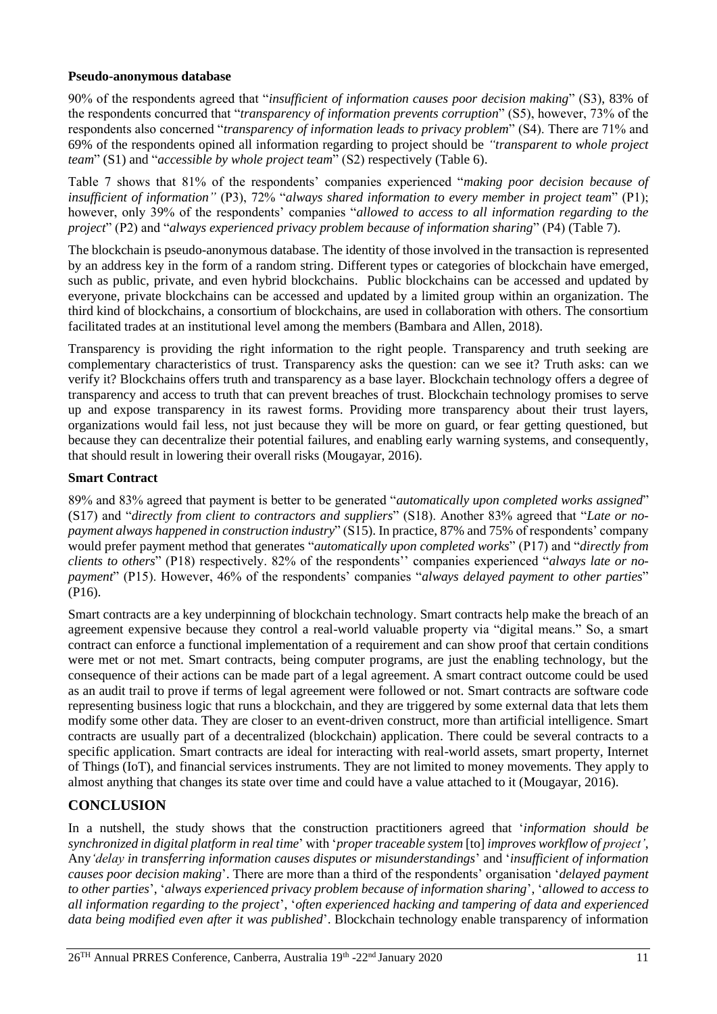#### **Pseudo-anonymous database**

90% of the respondents agreed that "*insufficient of information causes poor decision making*" (S3), 83% of the respondents concurred that "*transparency of information prevents corruption*" (S5), however, 73% of the respondents also concerned "*transparency of information leads to privacy problem*" (S4). There are 71% and 69% of the respondents opined all information regarding to project should be *"transparent to whole project team*" (S1) and "*accessible by whole project team*" (S2) respectively (Table 6).

Table 7 shows that 81% of the respondents' companies experienced "*making poor decision because of insufficient of information"* (P3), 72% "*always shared information to every member in project team*" (P1); however, only 39% of the respondents' companies "*allowed to access to all information regarding to the project*" (P2) and "*always experienced privacy problem because of information sharing*" (P4) (Table 7).

The blockchain is pseudo-anonymous database. The identity of those involved in the transaction is represented by an address key in the form of a random string. Different types or categories of blockchain have emerged, such as public, private, and even hybrid blockchains. Public blockchains can be accessed and updated by everyone, private blockchains can be accessed and updated by a limited group within an organization. The third kind of blockchains, a consortium of blockchains, are used in collaboration with others. The consortium facilitated trades at an institutional level among the members (Bambara and Allen, 2018).

Transparency is providing the right information to the right people. Transparency and truth seeking are complementary characteristics of trust. Transparency asks the question: can we see it? Truth asks: can we verify it? Blockchains offers truth and transparency as a base layer. Blockchain technology offers a degree of transparency and access to truth that can prevent breaches of trust. Blockchain technology promises to serve up and expose transparency in its rawest forms. Providing more transparency about their trust layers, organizations would fail less, not just because they will be more on guard, or fear getting questioned, but because they can decentralize their potential failures, and enabling early warning systems, and consequently, that should result in lowering their overall risks (Mougayar, 2016).

### **Smart Contract**

89% and 83% agreed that payment is better to be generated "*automatically upon completed works assigned*" (S17) and "*directly from client to contractors and suppliers*" (S18). Another 83% agreed that "*Late or nopayment always happened in construction industry*" (S15). In practice, 87% and 75% of respondents' company would prefer payment method that generates "*automatically upon completed works*" (P17) and "*directly from clients to others*" (P18) respectively. 82% of the respondents'' companies experienced "*always late or nopayment*" (P15). However, 46% of the respondents' companies "*always delayed payment to other parties*" (P16).

Smart contracts are a key underpinning of blockchain technology. Smart contracts help make the breach of an agreement expensive because they control a real-world valuable property via "digital means." So, a smart contract can enforce a functional implementation of a requirement and can show proof that certain conditions were met or not met. Smart contracts, being computer programs, are just the enabling technology, but the consequence of their actions can be made part of a legal agreement. A smart contract outcome could be used as an audit trail to prove if terms of legal agreement were followed or not. Smart contracts are software code representing business logic that runs a blockchain, and they are triggered by some external data that lets them modify some other data. They are closer to an event-driven construct, more than artificial intelligence. Smart contracts are usually part of a decentralized (blockchain) application. There could be several contracts to a specific application. Smart contracts are ideal for interacting with real-world assets, smart property, Internet of Things (IoT), and financial services instruments. They are not limited to money movements. They apply to almost anything that changes its state over time and could have a value attached to it (Mougayar, 2016).

## **CONCLUSION**

In a nutshell, the study shows that the construction practitioners agreed that '*information should be synchronized in digital platform in real time*' with '*proper traceable system* [to] *improves workflow of project'*, Any*'delay in transferring information causes disputes or misunderstandings*' and '*insufficient of information causes poor decision making*'. There are more than a third of the respondents' organisation '*delayed payment to other parties*', '*always experienced privacy problem because of information sharing*', '*allowed to access to all information regarding to the project*', '*often experienced hacking and tampering of data and experienced data being modified even after it was published*'. Blockchain technology enable transparency of information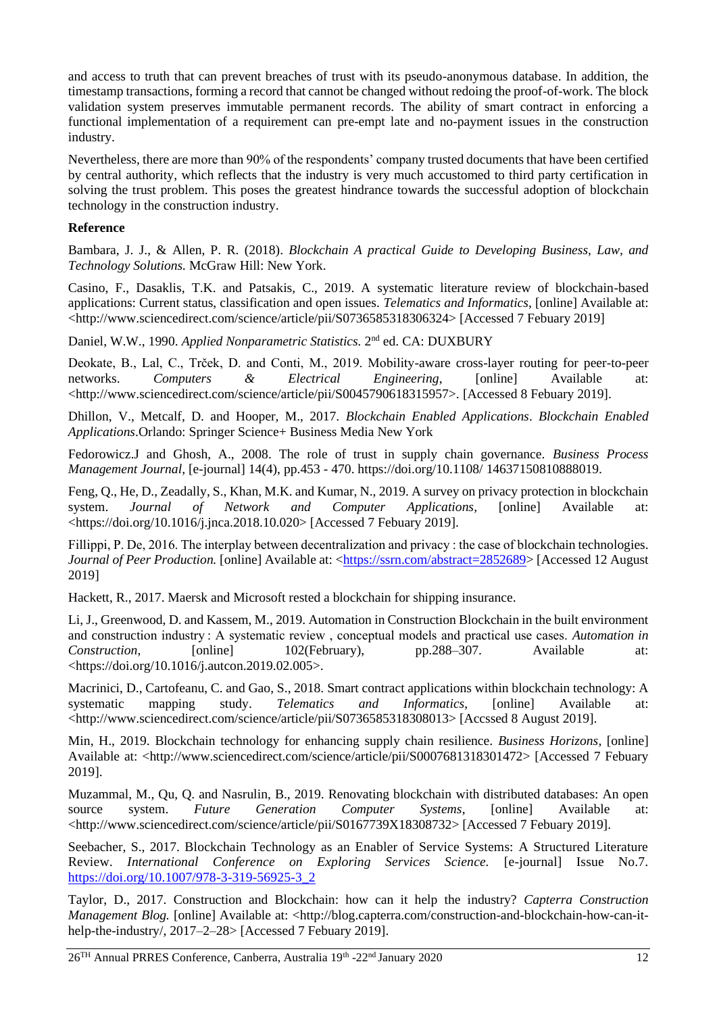and access to truth that can prevent breaches of trust with its pseudo-anonymous database. In addition, the timestamp transactions, forming a record that cannot be changed without redoing the proof-of-work. The block validation system preserves immutable permanent records. The ability of smart contract in enforcing a functional implementation of a requirement can pre-empt late and no-payment issues in the construction industry.

Nevertheless, there are more than 90% of the respondents' company trusted documents that have been certified by central authority, which reflects that the industry is very much accustomed to third party certification in solving the trust problem. This poses the greatest hindrance towards the successful adoption of blockchain technology in the construction industry.

#### **Reference**

Bambara, J. J., & Allen, P. R. (2018). *Blockchain A practical Guide to Developing Business, Law, and Technology Solutions.* McGraw Hill: New York.

Casino, F., Dasaklis, T.K. and Patsakis, C., 2019. A systematic literature review of blockchain-based applications: Current status, classification and open issues. *Telematics and Informatics*, [online] Available at: <http://www.sciencedirect.com/science/article/pii/S0736585318306324> [Accessed 7 Febuary 2019]

Daniel, W.W., 1990. Applied Nonparametric Statistics. 2<sup>nd</sup> ed. CA: DUXBURY

Deokate, B., Lal, C., Trček, D. and Conti, M., 2019. Mobility-aware cross-layer routing for peer-to-peer networks. *Computers & Electrical Engineering*, [online] Available at: <http://www.sciencedirect.com/science/article/pii/S0045790618315957>. [Accessed 8 Febuary 2019].

Dhillon, V., Metcalf, D. and Hooper, M., 2017. *Blockchain Enabled Applications*. *Blockchain Enabled Applications*.Orlando: Springer Science+ Business Media New York

Fedorowicz.J and Ghosh, A., 2008. The role of trust in supply chain governance. *Business Process Management Journal,* [e-journal] 14(4), pp.453 - 470. https://doi.org/10.1108/ 14637150810888019.

Feng, Q., He, D., Zeadally, S., Khan, M.K. and Kumar, N., 2019. A survey on privacy protection in blockchain system. *Journal of Network and Computer Applications*, [online] Available at: <https://doi.org/10.1016/j.jnca.2018.10.020> [Accessed 7 Febuary 2019].

Fillippi, P. De, 2016. The interplay between decentralization and privacy : the case of blockchain technologies. *Journal of Peer Production.* [online] Available at: [<https://ssrn.com/abstract=2852689>](https://ssrn.com/abstract=2852689) [Accessed 12 August] 2019]

Hackett, R., 2017. Maersk and Microsoft rested a blockchain for shipping insurance.

Li, J., Greenwood, D. and Kassem, M., 2019. Automation in Construction Blockchain in the built environment and construction industry : A systematic review , conceptual models and practical use cases. *Automation in Construction*, [online] 102(February), pp.288–307. Available at: <https://doi.org/10.1016/j.autcon.2019.02.005>.

Macrinici, D., Cartofeanu, C. and Gao, S., 2018. Smart contract applications within blockchain technology: A systematic mapping study. *Telematics and Informatics*, [online] Available at: <http://www.sciencedirect.com/science/article/pii/S0736585318308013> [Accssed 8 August 2019].

Min, H., 2019. Blockchain technology for enhancing supply chain resilience. *Business Horizons*, [online] Available at: <http://www.sciencedirect.com/science/article/pii/S0007681318301472> [Accessed 7 Febuary 2019].

Muzammal, M., Qu, Q. and Nasrulin, B., 2019. Renovating blockchain with distributed databases: An open source system. *Future Generation Computer Systems*, [online] Available at: <http://www.sciencedirect.com/science/article/pii/S0167739X18308732> [Accessed 7 Febuary 2019].

Seebacher, S., 2017. Blockchain Technology as an Enabler of Service Systems: A Structured Literature Review. *International Conference on Exploring Services Science.* [e-journal] Issue No.7. [https://doi.org/10.1007/978-3-319-56925-3\\_2](https://doi.org/10.1007/978-3-319-56925-3_2)

Taylor, D., 2017. Construction and Blockchain: how can it help the industry? *Capterra Construction Management Blog.* [online] Available at: <http://blog.capterra.com/construction-and-blockchain-how-can-ithelp-the-industry/, 2017–2–28> [Accessed 7 Febuary 2019].